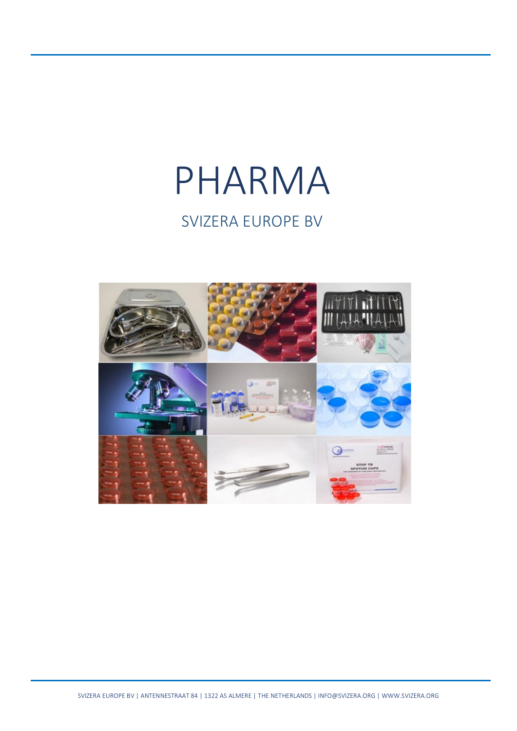# PHARMA SVIZERA EUROPE BV

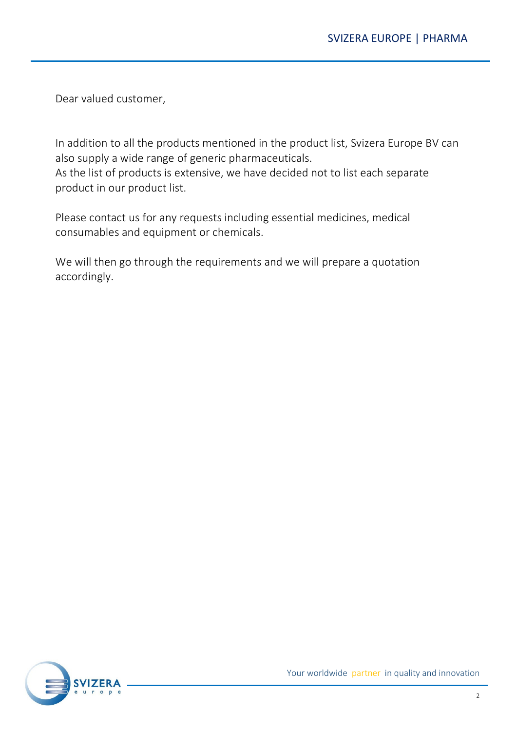Dear valued customer,

In addition to all the products mentioned in the product list, Svizera Europe BV can also supply a wide range of generic pharmaceuticals.

As the list of products is extensive, we have decided not to list each separate product in our product list.

Please contact us for any requests including essential medicines, medical consumables and equipment or chemicals.

We will then go through the requirements and we will prepare a quotation accordingly.

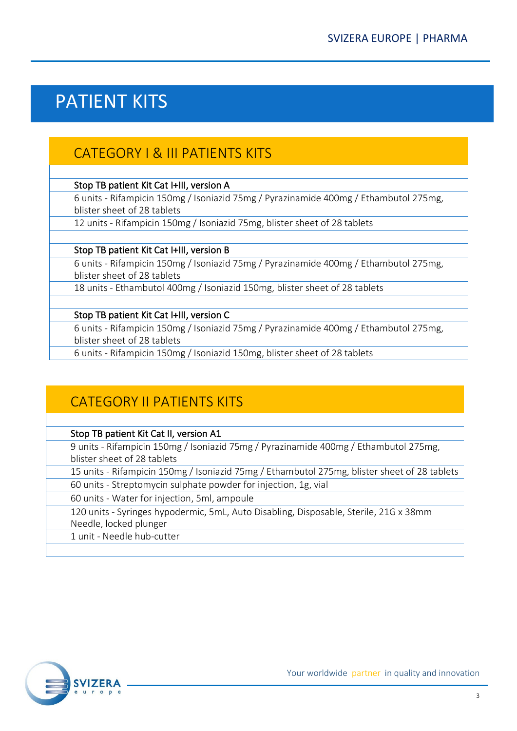# PATIENT KITS

## CATEGORY I & III PATIENTS KITS

#### Stop TB patient Kit Cat I+III, version A

6 units - Rifampicin 150mg / Isoniazid 75mg / Pyrazinamide 400mg / Ethambutol 275mg, blister sheet of 28 tablets

12 units - Rifampicin 150mg / Isoniazid 75mg, blister sheet of 28 tablets

#### Stop TB patient Kit Cat I+III, version B

6 units - Rifampicin 150mg / Isoniazid 75mg / Pyrazinamide 400mg / Ethambutol 275mg, blister sheet of 28 tablets

18 units - Ethambutol 400mg / Isoniazid 150mg, blister sheet of 28 tablets

#### Stop TB patient Kit Cat I+III, version C

6 units - Rifampicin 150mg / Isoniazid 75mg / Pyrazinamide 400mg / Ethambutol 275mg, blister sheet of 28 tablets

6 units - Rifampicin 150mg / Isoniazid 150mg, blister sheet of 28 tablets

### CATEGORY II PATIENTS KITS

#### Stop TB patient Kit Cat II, version A1

9 units - Rifampicin 150mg / Isoniazid 75mg / Pyrazinamide 400mg / Ethambutol 275mg, blister sheet of 28 tablets

15 units - Rifampicin 150mg / Isoniazid 75mg / Ethambutol 275mg, blister sheet of 28 tablets

60 units - Streptomycin sulphate powder for injection, 1g, vial

60 units - Water for injection, 5ml, ampoule

120 units - Syringes hypodermic, 5mL, Auto Disabling, Disposable, Sterile, 21G x 38mm Needle, locked plunger

1 unit - Needle hub-cutter

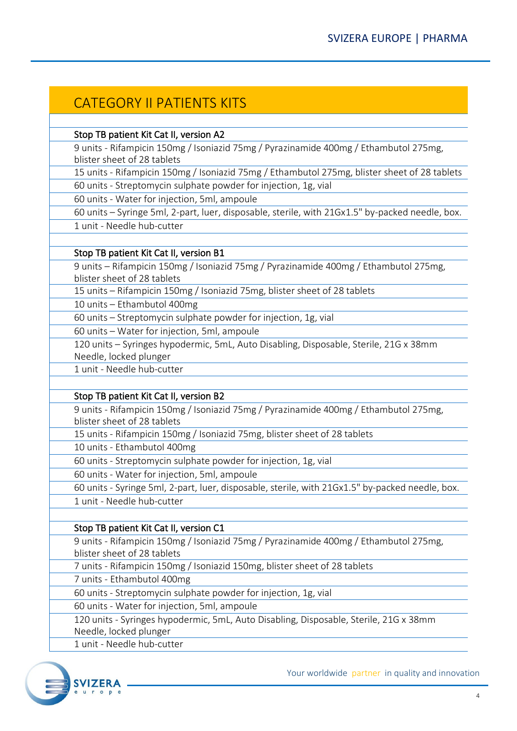### CATEGORY II PATIENTS KITS

#### Stop TB patient Kit Cat II, version A2

9 units - Rifampicin 150mg / Isoniazid 75mg / Pyrazinamide 400mg / Ethambutol 275mg, blister sheet of 28 tablets

15 units - Rifampicin 150mg / Isoniazid 75mg / Ethambutol 275mg, blister sheet of 28 tablets

60 units - Streptomycin sulphate powder for injection, 1g, vial

60 units - Water for injection, 5ml, ampoule

60 units – Syringe 5ml, 2-part, luer, disposable, sterile, with 21Gx1.5" by-packed needle, box. 1 unit - Needle hub-cutter

#### Stop TB patient Kit Cat II, version B1

9 units – Rifampicin 150mg / Isoniazid 75mg / Pyrazinamide 400mg / Ethambutol 275mg, blister sheet of 28 tablets

15 units – Rifampicin 150mg / Isoniazid 75mg, blister sheet of 28 tablets

10 units – Ethambutol 400mg

60 units – Streptomycin sulphate powder for injection, 1g, vial

60 units – Water for injection, 5ml, ampoule

120 units – Syringes hypodermic, 5mL, Auto Disabling, Disposable, Sterile, 21G x 38mm Needle, locked plunger

1 unit - Needle hub-cutter

#### Stop TB patient Kit Cat II, version B2

9 units - Rifampicin 150mg / Isoniazid 75mg / Pyrazinamide 400mg / Ethambutol 275mg, blister sheet of 28 tablets

15 units - Rifampicin 150mg / Isoniazid 75mg, blister sheet of 28 tablets

10 units - Ethambutol 400mg

60 units - Streptomycin sulphate powder for injection, 1g, vial

60 units - Water for injection, 5ml, ampoule

60 units - Syringe 5ml, 2-part, luer, disposable, sterile, with 21Gx1.5" by-packed needle, box.

1 unit - Needle hub-cutter

#### Stop TB patient Kit Cat II, version C1

9 units - Rifampicin 150mg / Isoniazid 75mg / Pyrazinamide 400mg / Ethambutol 275mg, blister sheet of 28 tablets

7 units - Rifampicin 150mg / Isoniazid 150mg, blister sheet of 28 tablets

7 units - Ethambutol 400mg

60 units - Streptomycin sulphate powder for injection, 1g, vial

60 units - Water for injection, 5ml, ampoule

120 units - Syringes hypodermic, 5mL, Auto Disabling, Disposable, Sterile, 21G x 38mm Needle, locked plunger

1 unit - Needle hub-cutter

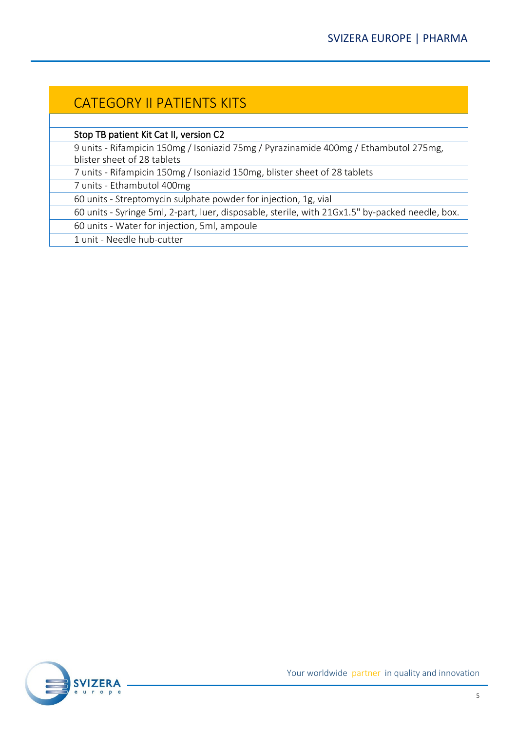## CATEGORY II PATIENTS KITS

Stop TB patient Kit Cat II, version C2

9 units - Rifampicin 150mg / Isoniazid 75mg / Pyrazinamide 400mg / Ethambutol 275mg, blister sheet of 28 tablets

7 units - Rifampicin 150mg / Isoniazid 150mg, blister sheet of 28 tablets

7 units - Ethambutol 400mg

60 units - Streptomycin sulphate powder for injection, 1g, vial

60 units - Syringe 5ml, 2-part, luer, disposable, sterile, with 21Gx1.5" by-packed needle, box.

60 units - Water for injection, 5ml, ampoule

1 unit - Needle hub-cutter

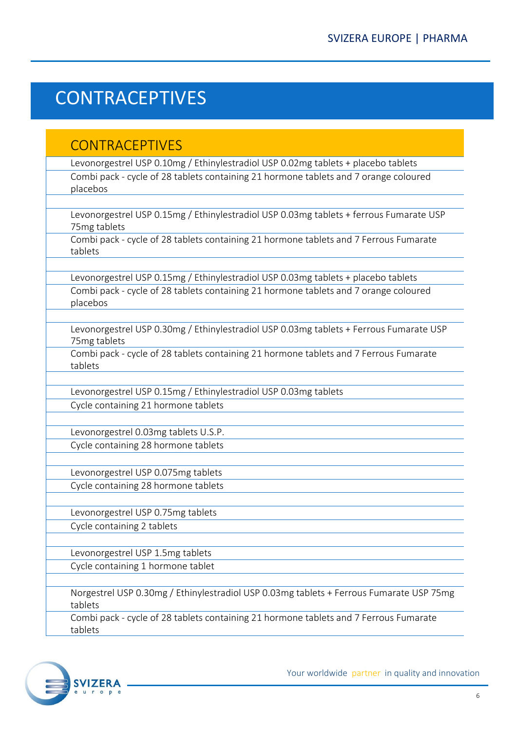# **CONTRACEPTIVES**

### **CONTRACEPTIVES**

Levonorgestrel USP 0.10mg / Ethinylestradiol USP 0.02mg tablets + placebo tablets Combi pack - cycle of 28 tablets containing 21 hormone tablets and 7 orange coloured placebos

Levonorgestrel USP 0.15mg / Ethinylestradiol USP 0.03mg tablets + ferrous Fumarate USP 75mg tablets

Combi pack - cycle of 28 tablets containing 21 hormone tablets and 7 Ferrous Fumarate tablets

Levonorgestrel USP 0.15mg / Ethinylestradiol USP 0.03mg tablets + placebo tablets Combi pack - cycle of 28 tablets containing 21 hormone tablets and 7 orange coloured placebos

Levonorgestrel USP 0.30mg / Ethinylestradiol USP 0.03mg tablets + Ferrous Fumarate USP 75mg tablets

Combi pack - cycle of 28 tablets containing 21 hormone tablets and 7 Ferrous Fumarate tablets

Levonorgestrel USP 0.15mg / Ethinylestradiol USP 0.03mg tablets Cycle containing 21 hormone tablets

Levonorgestrel 0.03mg tablets U.S.P. Cycle containing 28 hormone tablets

Levonorgestrel USP 0.075mg tablets Cycle containing 28 hormone tablets

Levonorgestrel USP 0.75mg tablets Cycle containing 2 tablets

Levonorgestrel USP 1.5mg tablets

Cycle containing 1 hormone tablet

Norgestrel USP 0.30mg / Ethinylestradiol USP 0.03mg tablets + Ferrous Fumarate USP 75mg tablets

Combi pack - cycle of 28 tablets containing 21 hormone tablets and 7 Ferrous Fumarate tablets

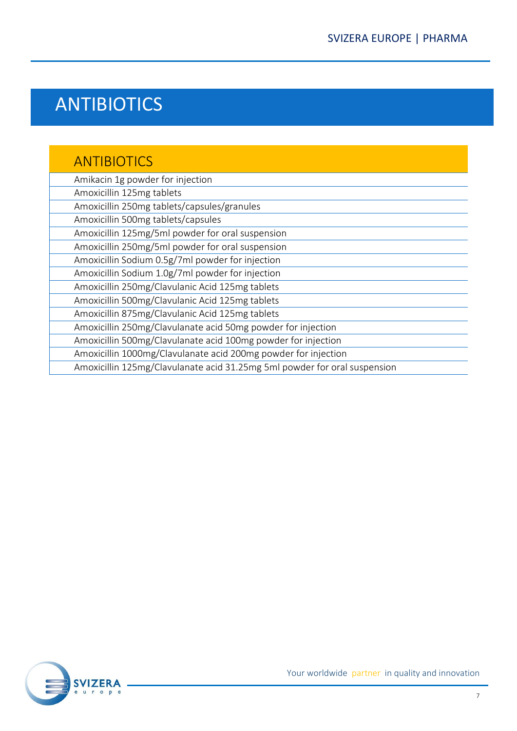# ANTIBIOTICS

## ANTIBIOTICS

| Amikacin 1g powder for injection                                          |  |
|---------------------------------------------------------------------------|--|
| Amoxicillin 125mg tablets                                                 |  |
| Amoxicillin 250mg tablets/capsules/granules                               |  |
| Amoxicillin 500mg tablets/capsules                                        |  |
| Amoxicillin 125mg/5ml powder for oral suspension                          |  |
| Amoxicillin 250mg/5ml powder for oral suspension                          |  |
| Amoxicillin Sodium 0.5g/7ml powder for injection                          |  |
| Amoxicillin Sodium 1.0g/7ml powder for injection                          |  |
| Amoxicillin 250mg/Clavulanic Acid 125mg tablets                           |  |
| Amoxicillin 500mg/Clavulanic Acid 125mg tablets                           |  |
| Amoxicillin 875mg/Clavulanic Acid 125mg tablets                           |  |
| Amoxicillin 250mg/Clavulanate acid 50mg powder for injection              |  |
| Amoxicillin 500mg/Clavulanate acid 100mg powder for injection             |  |
| Amoxicillin 1000mg/Clavulanate acid 200mg powder for injection            |  |
| Amoxicillin 125mg/Clavulanate acid 31.25mg 5ml powder for oral suspension |  |
|                                                                           |  |

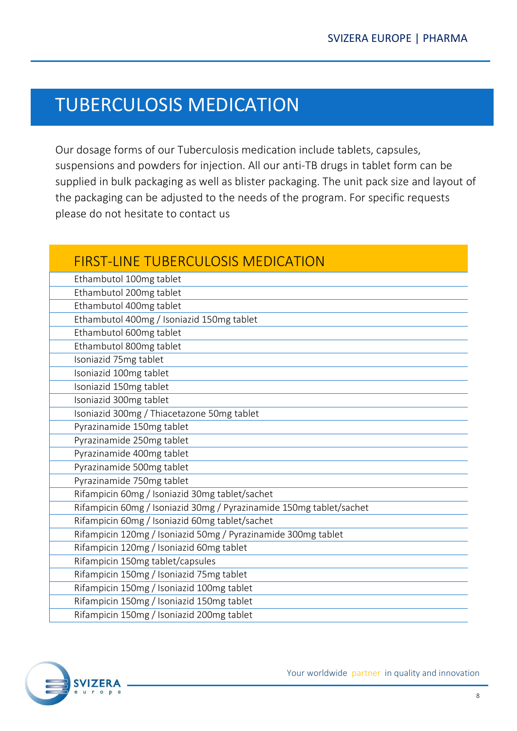# TUBERCULOSIS MEDICATION

Our dosage forms of our Tuberculosis medication include tablets, capsules, suspensions and powders for injection. All our anti-TB drugs in tablet form can be supplied in bulk packaging as well as blister packaging. The unit pack size and layout of the packaging can be adjusted to the needs of the program. For specific requests please do not hesitate to contact us

| <b>FIRST-LINE TUBERCULOSIS MEDICATION</b>                           |
|---------------------------------------------------------------------|
| Ethambutol 100mg tablet                                             |
| Ethambutol 200mg tablet                                             |
| Ethambutol 400mg tablet                                             |
| Ethambutol 400mg / Isoniazid 150mg tablet                           |
| Ethambutol 600mg tablet                                             |
| Ethambutol 800mg tablet                                             |
| Isoniazid 75mg tablet                                               |
| Isoniazid 100mg tablet                                              |
| Isoniazid 150mg tablet                                              |
| Isoniazid 300mg tablet                                              |
| Isoniazid 300mg / Thiacetazone 50mg tablet                          |
| Pyrazinamide 150mg tablet                                           |
| Pyrazinamide 250mg tablet                                           |
| Pyrazinamide 400mg tablet                                           |
| Pyrazinamide 500mg tablet                                           |
| Pyrazinamide 750mg tablet                                           |
| Rifampicin 60mg / Isoniazid 30mg tablet/sachet                      |
| Rifampicin 60mg / Isoniazid 30mg / Pyrazinamide 150mg tablet/sachet |
| Rifampicin 60mg / Isoniazid 60mg tablet/sachet                      |
| Rifampicin 120mg / Isoniazid 50mg / Pyrazinamide 300mg tablet       |
| Rifampicin 120mg / Isoniazid 60mg tablet                            |
| Rifampicin 150mg tablet/capsules                                    |
| Rifampicin 150mg / Isoniazid 75mg tablet                            |
| Rifampicin 150mg / Isoniazid 100mg tablet                           |
| Rifampicin 150mg / Isoniazid 150mg tablet                           |
| Rifampicin 150mg / Isoniazid 200mg tablet                           |

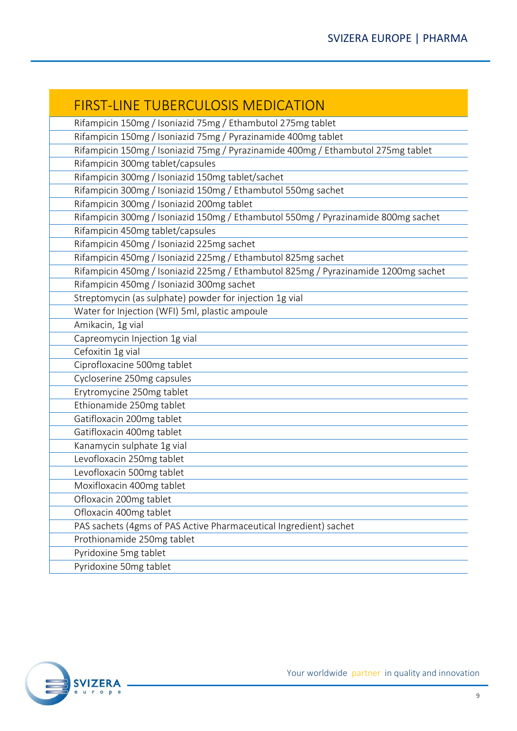| <b>FIRST-LINE TUBERCULOSIS MEDICATION</b>                                          |
|------------------------------------------------------------------------------------|
| Rifampicin 150mg / Isoniazid 75mg / Ethambutol 275mg tablet                        |
| Rifampicin 150mg / Isoniazid 75mg / Pyrazinamide 400mg tablet                      |
| Rifampicin 150mg / Isoniazid 75mg / Pyrazinamide 400mg / Ethambutol 275mg tablet   |
| Rifampicin 300mg tablet/capsules                                                   |
| Rifampicin 300mg / Isoniazid 150mg tablet/sachet                                   |
| Rifampicin 300mg / Isoniazid 150mg / Ethambutol 550mg sachet                       |
| Rifampicin 300mg / Isoniazid 200mg tablet                                          |
| Rifampicin 300mg / Isoniazid 150mg / Ethambutol 550mg / Pyrazinamide 800mg sachet  |
| Rifampicin 450mg tablet/capsules                                                   |
| Rifampicin 450mg / Isoniazid 225mg sachet                                          |
| Rifampicin 450mg / Isoniazid 225mg / Ethambutol 825mg sachet                       |
| Rifampicin 450mg / Isoniazid 225mg / Ethambutol 825mg / Pyrazinamide 1200mg sachet |
| Rifampicin 450mg / Isoniazid 300mg sachet                                          |
| Streptomycin (as sulphate) powder for injection 1g vial                            |
| Water for Injection (WFI) 5ml, plastic ampoule                                     |
| Amikacin, 1g vial                                                                  |
| Capreomycin Injection 1g vial                                                      |
| Cefoxitin 1g vial                                                                  |
| Ciprofloxacine 500mg tablet                                                        |
| Cycloserine 250mg capsules                                                         |
| Erytromycine 250mg tablet                                                          |
| Ethionamide 250mg tablet                                                           |
| Gatifloxacin 200mg tablet                                                          |
| Gatifloxacin 400mg tablet                                                          |
| Kanamycin sulphate 1g vial                                                         |
| Levofloxacin 250mg tablet                                                          |
| Levofloxacin 500mg tablet                                                          |
| Moxifloxacin 400mg tablet                                                          |
| Ofloxacin 200mg tablet                                                             |
| Ofloxacin 400mg tablet                                                             |
| PAS sachets (4gms of PAS Active Pharmaceutical Ingredient) sachet                  |
| Prothionamide 250mg tablet                                                         |
| Pyridoxine 5mg tablet                                                              |
| Pyridoxine 50mg tablet                                                             |